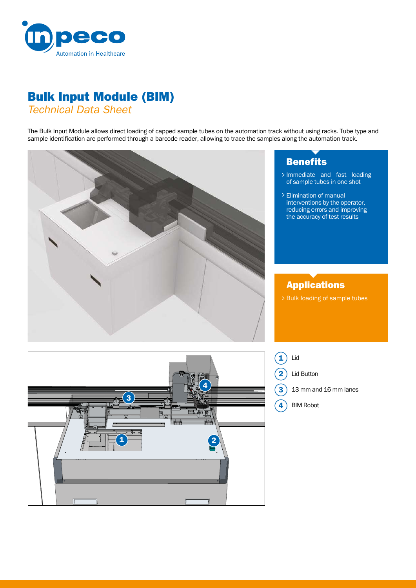

## Bulk Input Module (BIM)

*Technical Data Sheet*

The Bulk Input Module allows direct loading of capped sample tubes on the automation track without using racks. Tube type and sample identification are performed through a barcode reader, allowing to trace the samples along the automation track.